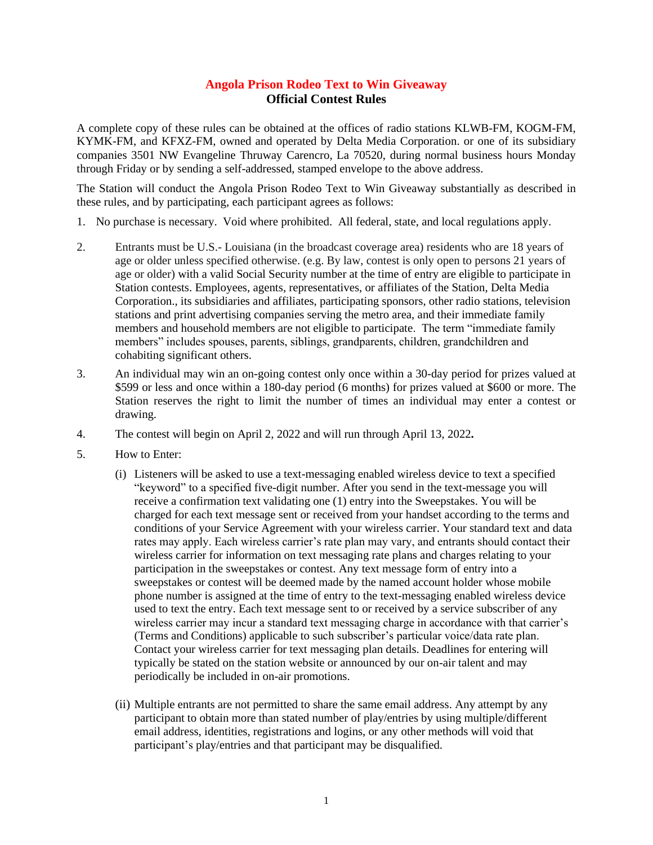## **Angola Prison Rodeo Text to Win Giveaway Official Contest Rules**

A complete copy of these rules can be obtained at the offices of radio stations KLWB-FM, KOGM-FM, KYMK-FM, and KFXZ-FM, owned and operated by Delta Media Corporation. or one of its subsidiary companies 3501 NW Evangeline Thruway Carencro, La 70520, during normal business hours Monday through Friday or by sending a self-addressed, stamped envelope to the above address.

The Station will conduct the Angola Prison Rodeo Text to Win Giveaway substantially as described in these rules, and by participating, each participant agrees as follows:

- 1. No purchase is necessary. Void where prohibited. All federal, state, and local regulations apply.
- 2. Entrants must be U.S.- Louisiana (in the broadcast coverage area) residents who are 18 years of age or older unless specified otherwise. (e.g. By law, contest is only open to persons 21 years of age or older) with a valid Social Security number at the time of entry are eligible to participate in Station contests. Employees, agents, representatives, or affiliates of the Station, Delta Media Corporation., its subsidiaries and affiliates, participating sponsors, other radio stations, television stations and print advertising companies serving the metro area, and their immediate family members and household members are not eligible to participate. The term "immediate family members" includes spouses, parents, siblings, grandparents, children, grandchildren and cohabiting significant others.
- 3. An individual may win an on-going contest only once within a 30-day period for prizes valued at \$599 or less and once within a 180-day period (6 months) for prizes valued at \$600 or more. The Station reserves the right to limit the number of times an individual may enter a contest or drawing.
- 4. The contest will begin on April 2, 2022 and will run through April 13, 2022**.**
- 5. How to Enter:
	- (i) Listeners will be asked to use a text-messaging enabled wireless device to text a specified "keyword" to a specified five-digit number. After you send in the text-message you will receive a confirmation text validating one (1) entry into the Sweepstakes. You will be charged for each text message sent or received from your handset according to the terms and conditions of your Service Agreement with your wireless carrier. Your standard text and data rates may apply. Each wireless carrier's rate plan may vary, and entrants should contact their wireless carrier for information on text messaging rate plans and charges relating to your participation in the sweepstakes or contest. Any text message form of entry into a sweepstakes or contest will be deemed made by the named account holder whose mobile phone number is assigned at the time of entry to the text-messaging enabled wireless device used to text the entry. Each text message sent to or received by a service subscriber of any wireless carrier may incur a standard text messaging charge in accordance with that carrier's (Terms and Conditions) applicable to such subscriber's particular voice/data rate plan. Contact your wireless carrier for text messaging plan details. Deadlines for entering will typically be stated on the station website or announced by our on-air talent and may periodically be included in on-air promotions.
	- (ii) Multiple entrants are not permitted to share the same email address. Any attempt by any participant to obtain more than stated number of play/entries by using multiple/different email address, identities, registrations and logins, or any other methods will void that participant's play/entries and that participant may be disqualified.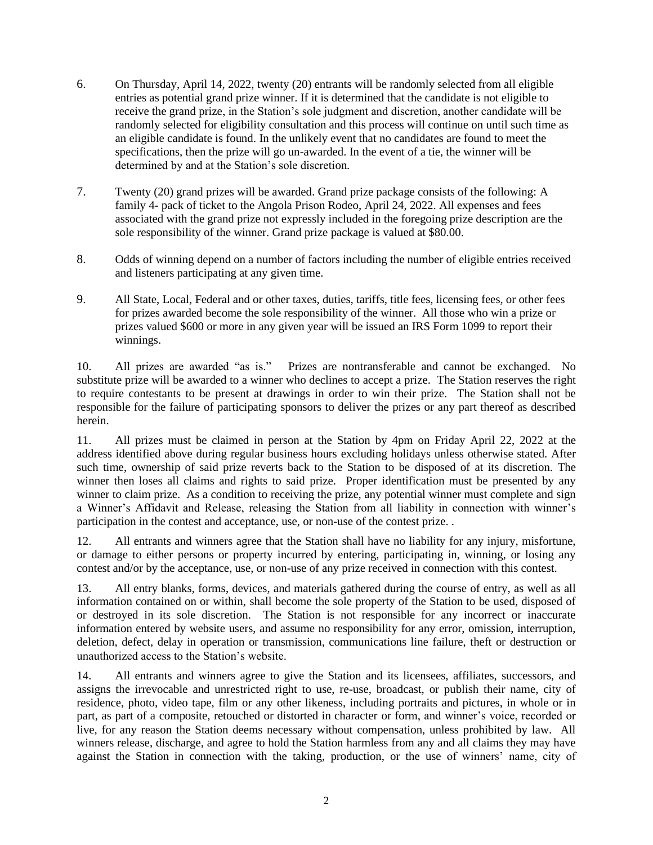- 6. On Thursday, April 14, 2022, twenty (20) entrants will be randomly selected from all eligible entries as potential grand prize winner. If it is determined that the candidate is not eligible to receive the grand prize, in the Station's sole judgment and discretion, another candidate will be randomly selected for eligibility consultation and this process will continue on until such time as an eligible candidate is found. In the unlikely event that no candidates are found to meet the specifications, then the prize will go un-awarded. In the event of a tie, the winner will be determined by and at the Station's sole discretion.
- 7. Twenty (20) grand prizes will be awarded. Grand prize package consists of the following: A family 4- pack of ticket to the Angola Prison Rodeo, April 24, 2022. All expenses and fees associated with the grand prize not expressly included in the foregoing prize description are the sole responsibility of the winner. Grand prize package is valued at \$80.00.
- 8. Odds of winning depend on a number of factors including the number of eligible entries received and listeners participating at any given time.
- 9. All State, Local, Federal and or other taxes, duties, tariffs, title fees, licensing fees, or other fees for prizes awarded become the sole responsibility of the winner. All those who win a prize or prizes valued \$600 or more in any given year will be issued an IRS Form 1099 to report their winnings.

10. All prizes are awarded "as is." Prizes are nontransferable and cannot be exchanged. No substitute prize will be awarded to a winner who declines to accept a prize. The Station reserves the right to require contestants to be present at drawings in order to win their prize. The Station shall not be responsible for the failure of participating sponsors to deliver the prizes or any part thereof as described herein.

11. All prizes must be claimed in person at the Station by 4pm on Friday April 22, 2022 at the address identified above during regular business hours excluding holidays unless otherwise stated. After such time, ownership of said prize reverts back to the Station to be disposed of at its discretion. The winner then loses all claims and rights to said prize. Proper identification must be presented by any winner to claim prize. As a condition to receiving the prize, any potential winner must complete and sign a Winner's Affidavit and Release, releasing the Station from all liability in connection with winner's participation in the contest and acceptance, use, or non-use of the contest prize. .

12. All entrants and winners agree that the Station shall have no liability for any injury, misfortune, or damage to either persons or property incurred by entering, participating in, winning, or losing any contest and/or by the acceptance, use, or non-use of any prize received in connection with this contest.

13. All entry blanks, forms, devices, and materials gathered during the course of entry, as well as all information contained on or within, shall become the sole property of the Station to be used, disposed of or destroyed in its sole discretion. The Station is not responsible for any incorrect or inaccurate information entered by website users, and assume no responsibility for any error, omission, interruption, deletion, defect, delay in operation or transmission, communications line failure, theft or destruction or unauthorized access to the Station's website.

14. All entrants and winners agree to give the Station and its licensees, affiliates, successors, and assigns the irrevocable and unrestricted right to use, re-use, broadcast, or publish their name, city of residence, photo, video tape, film or any other likeness, including portraits and pictures, in whole or in part, as part of a composite, retouched or distorted in character or form, and winner's voice, recorded or live, for any reason the Station deems necessary without compensation, unless prohibited by law. All winners release, discharge, and agree to hold the Station harmless from any and all claims they may have against the Station in connection with the taking, production, or the use of winners' name, city of